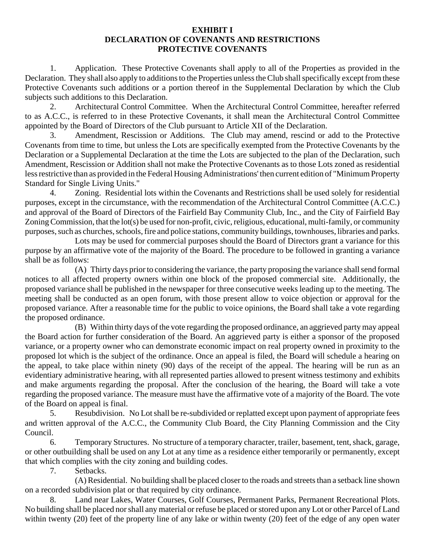## **EXHIBIT I DECLARATION OF COVENANTS AND RESTRICTIONS PROTECTIVE COVENANTS**

1. Application. These Protective Covenants shall apply to all of the Properties as provided in the Declaration. They shall also apply to additions to the Properties unless the Club shall specifically except from these Protective Covenants such additions or a portion thereof in the Supplemental Declaration by which the Club subjects such additions to this Declaration.

2. Architectural Control Committee. When the Architectural Control Committee, hereafter referred to as A.C.C., is referred to in these Protective Covenants, it shall mean the Architectural Control Committee appointed by the Board of Directors of the Club pursuant to Article XII of the Declaration.

3. Amendment, Rescission or Additions. The Club may amend, rescind or add to the Protective Covenants from time to time, but unless the Lots are specifically exempted from the Protective Covenants by the Declaration or a Supplemental Declaration at the time the Lots are subjected to the plan of the Declaration, such Amendment, Rescission or Addition shall not make the Protective Covenants as to those Lots zoned as residential less restrictive than as provided in the Federal Housing Administrations' then current edition of "Minimum Property Standard for Single Living Units."

4. Zoning. Residential lots within the Covenants and Restrictions shall be used solely for residential purposes, except in the circumstance, with the recommendation of the Architectural Control Committee (A.C.C.) and approval of the Board of Directors of the Fairfield Bay Community Club, Inc., and the City of Fairfield Bay Zoning Commission, that the lot(s) be used for non-profit, civic, religious, educational, multi-family, or community purposes, such as churches, schools, fire and police stations, community buildings, townhouses, libraries and parks.

Lots may be used for commercial purposes should the Board of Directors grant a variance for this purpose by an affirmative vote of the majority of the Board. The procedure to be followed in granting a variance shall be as follows:

(A) Thirty days prior to considering the variance, the party proposing the variance shall send formal notices to all affected property owners within one block of the proposed commercial site. Additionally, the proposed variance shall be published in the newspaper for three consecutive weeks leading up to the meeting. The meeting shall be conducted as an open forum, with those present allow to voice objection or approval for the proposed variance. After a reasonable time for the public to voice opinions, the Board shall take a vote regarding the proposed ordinance.

(B) Within thirty days of the vote regarding the proposed ordinance, an aggrieved party may appeal the Board action for further consideration of the Board. An aggrieved party is either a sponsor of the proposed variance, or a property owner who can demonstrate economic impact on real property owned in proximity to the proposed lot which is the subject of the ordinance. Once an appeal is filed, the Board will schedule a hearing on the appeal, to take place within ninety (90) days of the receipt of the appeal. The hearing will be run as an evidentiary administrative hearing, with all represented parties allowed to present witness testimony and exhibits and make arguments regarding the proposal. After the conclusion of the hearing, the Board will take a vote regarding the proposed variance. The measure must have the affirmative vote of a majority of the Board. The vote of the Board on appeal is final.

5. Resubdivision. No Lot shall be re-subdivided or replatted except upon payment of appropriate fees and written approval of the A.C.C., the Community Club Board, the City Planning Commission and the City Council.

6. Temporary Structures. No structure of a temporary character, trailer, basement, tent, shack, garage, or other outbuilding shall be used on any Lot at any time as a residence either temporarily or permanently, except that which complies with the city zoning and building codes.

7. Setbacks.

(A) Residential. No building shall be placed closer to the roads and streets than a setback line shown on a recorded subdivision plat or that required by city ordinance.

8. Land near Lakes, Water Courses, Golf Courses, Permanent Parks, Permanent Recreational Plots. No building shall be placed nor shall any material or refuse be placed or stored upon any Lot or other Parcel of Land within twenty (20) feet of the property line of any lake or within twenty (20) feet of the edge of any open water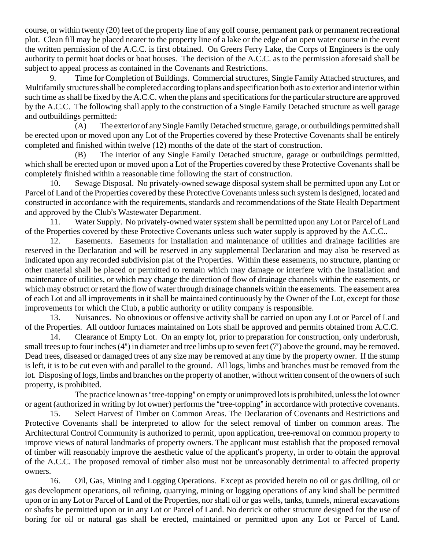course, or within twenty (20) feet of the property line of any golf course, permanent park or permanent recreational plot. Clean fill may be placed nearer to the property line of a lake or the edge of an open water course in the event the written permission of the A.C.C. is first obtained. On Greers Ferry Lake, the Corps of Engineers is the only authority to permit boat docks or boat houses. The decision of the A.C.C. as to the permission aforesaid shall be subject to appeal process as contained in the Covenants and Restrictions.

9. Time for Completion of Buildings. Commercial structures, Single Family Attached structures, and Multifamily structures shall be completed according to plans and specification both as to exterior and interior within such time as shall be fixed by the A.C.C. when the plans and specifications for the particular structure are approved by the A.C.C. The following shall apply to the construction of a Single Family Detached structure as well garage and outbuildings permitted:

(A) The exterior of any Single Family Detached structure, garage, or outbuildings permitted shall be erected upon or moved upon any Lot of the Properties covered by these Protective Covenants shall be entirely completed and finished within twelve (12) months of the date of the start of construction.

(B) The interior of any Single Family Detached structure, garage or outbuildings permitted, which shall be erected upon or moved upon a Lot of the Properties covered by these Protective Covenants shall be completely finished within a reasonable time following the start of construction.

10. Sewage Disposal. No privately-owned sewage disposal system shall be permitted upon any Lot or Parcel of Land of the Properties covered by these Protective Covenants unless such system is designed, located and constructed in accordance with the requirements, standards and recommendations of the State Health Department and approved by the Club's Wastewater Department.

11. Water Supply. No privately-owned water system shall be permitted upon any Lot or Parcel of Land of the Properties covered by these Protective Covenants unless such water supply is approved by the A.C.C..

12. Easements. Easements for installation and maintenance of utilities and drainage facilities are reserved in the Declaration and will be reserved in any supplemental Declaration and may also be reserved as indicated upon any recorded subdivision plat of the Properties. Within these easements, no structure, planting or other material shall be placed or permitted to remain which may damage or interfere with the installation and maintenance of utilities, or which may change the direction of flow of drainage channels within the easements, or which may obstruct or retard the flow of water through drainage channels within the easements. The easement area of each Lot and all improvements in it shall be maintained continuously by the Owner of the Lot, except for those improvements for which the Club, a public authority or utility company is responsible.

13. Nuisances. No obnoxious or offensive activity shall be carried on upon any Lot or Parcel of Land of the Properties. All outdoor furnaces maintained on Lots shall be approved and permits obtained from A.C.C.

14. Clearance of Empty Lot. On an empty lot, prior to preparation for construction, only underbrush, small trees up to four inches  $(4")$  in diameter and tree limbs up to seven feet  $(7')$  above the ground, may be removed. Dead trees, diseased or damaged trees of any size may be removed at any time by the property owner. If the stump is left, it is to be cut even with and parallel to the ground. All logs, limbs and branches must be removed from the lot. Disposing of logs, limbs and branches on the property of another, without written consent of the owners of such property, is prohibited.

The practice known as "tree-topping" on empty or unimproved lots is prohibited, unless the lot owner or agent (authorized in writing by lot owner) performs the "tree-topping" in accordance with protective covenants.

15. Select Harvest of Timber on Common Areas. The Declaration of Covenants and Restrictions and Protective Covenants shall be interpreted to allow for the select removal of timber on common areas. The Architectural Control Community is authorized to permit, upon application, tree-removal on common property to improve views of natural landmarks of property owners. The applicant must establish that the proposed removal of timber will reasonably improve the aesthetic value of the applicant's property, in order to obtain the approval of the A.C.C. The proposed removal of timber also must not be unreasonably detrimental to affected property owners.

16. Oil, Gas, Mining and Logging Operations. Except as provided herein no oil or gas drilling, oil or gas development operations, oil refining, quarrying, mining or logging operations of any kind shall be permitted upon or in any Lot or Parcel of Land of the Properties, nor shall oil or gas wells, tanks, tunnels, mineral excavations or shafts be permitted upon or in any Lot or Parcel of Land. No derrick or other structure designed for the use of boring for oil or natural gas shall be erected, maintained or permitted upon any Lot or Parcel of Land.